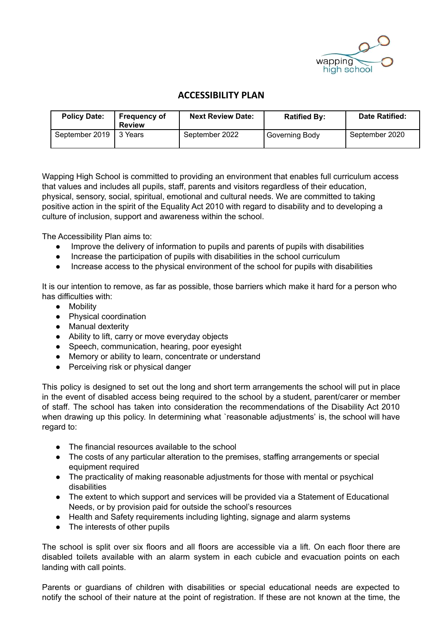

## **ACCESSIBILITY PLAN**

| <b>Policy Date:</b> | <b>Frequency of</b><br><b>Review</b> | <b>Next Review Date:</b> | <b>Ratified By:</b> | Date Ratified: |
|---------------------|--------------------------------------|--------------------------|---------------------|----------------|
| September 2019      | 13 Years                             | September 2022           | Governing Body      | September 2020 |

Wapping High School is committed to providing an environment that enables full curriculum access that values and includes all pupils, staff, parents and visitors regardless of their education, physical, sensory, social, spiritual, emotional and cultural needs. We are committed to taking positive action in the spirit of the Equality Act 2010 with regard to disability and to developing a culture of inclusion, support and awareness within the school.

The Accessibility Plan aims to:

- Improve the delivery of information to pupils and parents of pupils with disabilities
- Increase the participation of pupils with disabilities in the school curriculum
- Increase access to the physical environment of the school for pupils with disabilities

It is our intention to remove, as far as possible, those barriers which make it hard for a person who has difficulties with:

- Mobility
- Physical coordination
- Manual dexterity
- Ability to lift, carry or move everyday objects
- Speech, communication, hearing, poor eyesight
- Memory or ability to learn, concentrate or understand
- Perceiving risk or physical danger

This policy is designed to set out the long and short term arrangements the school will put in place in the event of disabled access being required to the school by a student, parent/carer or member of staff. The school has taken into consideration the recommendations of the Disability Act 2010 when drawing up this policy. In determining what `reasonable adjustments' is, the school will have regard to:

- The financial resources available to the school
- The costs of any particular alteration to the premises, staffing arrangements or special equipment required
- The practicality of making reasonable adjustments for those with mental or psychical disabilities
- The extent to which support and services will be provided via a Statement of Educational Needs, or by provision paid for outside the school's resources
- Health and Safety requirements including lighting, signage and alarm systems
- The interests of other pupils

The school is split over six floors and all floors are accessible via a lift. On each floor there are disabled toilets available with an alarm system in each cubicle and evacuation points on each landing with call points.

Parents or guardians of children with disabilities or special educational needs are expected to notify the school of their nature at the point of registration. If these are not known at the time, the